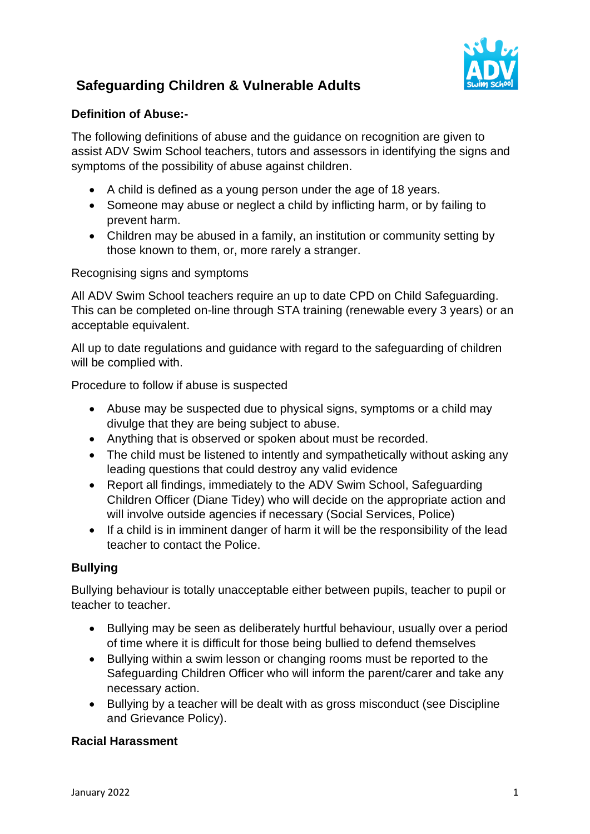

### **Definition of Abuse:-**

The following definitions of abuse and the guidance on recognition are given to assist ADV Swim School teachers, tutors and assessors in identifying the signs and symptoms of the possibility of abuse against children.

- A child is defined as a young person under the age of 18 years.
- Someone may abuse or neglect a child by inflicting harm, or by failing to prevent harm.
- Children may be abused in a family, an institution or community setting by those known to them, or, more rarely a stranger.

Recognising signs and symptoms

All ADV Swim School teachers require an up to date CPD on Child Safeguarding. This can be completed on-line through STA training (renewable every 3 years) or an acceptable equivalent.

All up to date regulations and guidance with regard to the safeguarding of children will be complied with.

Procedure to follow if abuse is suspected

- Abuse may be suspected due to physical signs, symptoms or a child may divulge that they are being subject to abuse.
- Anything that is observed or spoken about must be recorded.
- The child must be listened to intently and sympathetically without asking any leading questions that could destroy any valid evidence
- Report all findings, immediately to the ADV Swim School, Safeguarding Children Officer (Diane Tidey) who will decide on the appropriate action and will involve outside agencies if necessary (Social Services, Police)
- If a child is in imminent danger of harm it will be the responsibility of the lead teacher to contact the Police.

### **Bullying**

Bullying behaviour is totally unacceptable either between pupils, teacher to pupil or teacher to teacher.

- Bullying may be seen as deliberately hurtful behaviour, usually over a period of time where it is difficult for those being bullied to defend themselves
- Bullying within a swim lesson or changing rooms must be reported to the Safeguarding Children Officer who will inform the parent/carer and take any necessary action.
- Bullying by a teacher will be dealt with as gross misconduct (see Discipline and Grievance Policy).

### **Racial Harassment**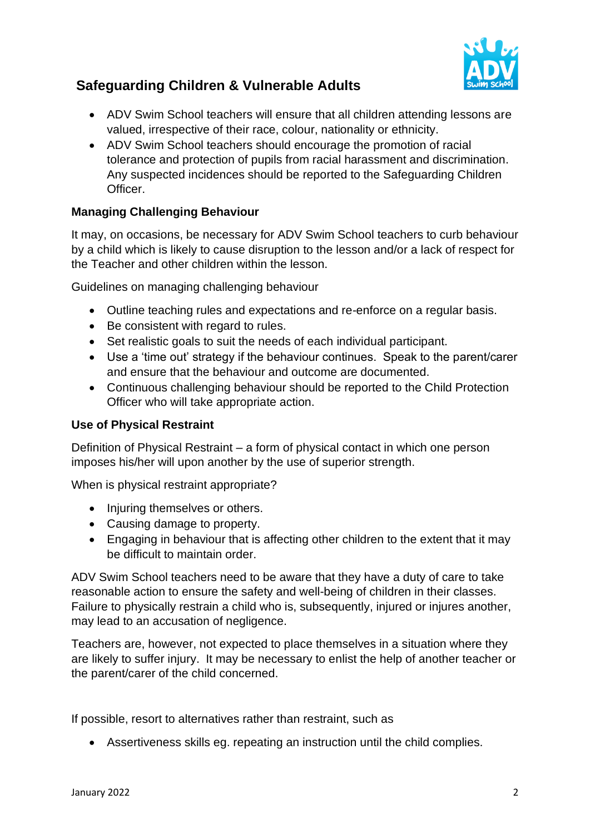

- ADV Swim School teachers will ensure that all children attending lessons are valued, irrespective of their race, colour, nationality or ethnicity.
- ADV Swim School teachers should encourage the promotion of racial tolerance and protection of pupils from racial harassment and discrimination. Any suspected incidences should be reported to the Safeguarding Children Officer.

### **Managing Challenging Behaviour**

It may, on occasions, be necessary for ADV Swim School teachers to curb behaviour by a child which is likely to cause disruption to the lesson and/or a lack of respect for the Teacher and other children within the lesson.

Guidelines on managing challenging behaviour

- Outline teaching rules and expectations and re-enforce on a regular basis.
- Be consistent with regard to rules.
- Set realistic goals to suit the needs of each individual participant.
- Use a 'time out' strategy if the behaviour continues. Speak to the parent/carer and ensure that the behaviour and outcome are documented.
- Continuous challenging behaviour should be reported to the Child Protection Officer who will take appropriate action.

### **Use of Physical Restraint**

Definition of Physical Restraint – a form of physical contact in which one person imposes his/her will upon another by the use of superior strength.

When is physical restraint appropriate?

- Injuring themselves or others.
- Causing damage to property.
- Engaging in behaviour that is affecting other children to the extent that it may be difficult to maintain order.

ADV Swim School teachers need to be aware that they have a duty of care to take reasonable action to ensure the safety and well-being of children in their classes. Failure to physically restrain a child who is, subsequently, injured or injures another, may lead to an accusation of negligence.

Teachers are, however, not expected to place themselves in a situation where they are likely to suffer injury. It may be necessary to enlist the help of another teacher or the parent/carer of the child concerned.

If possible, resort to alternatives rather than restraint, such as

• Assertiveness skills eg. repeating an instruction until the child complies.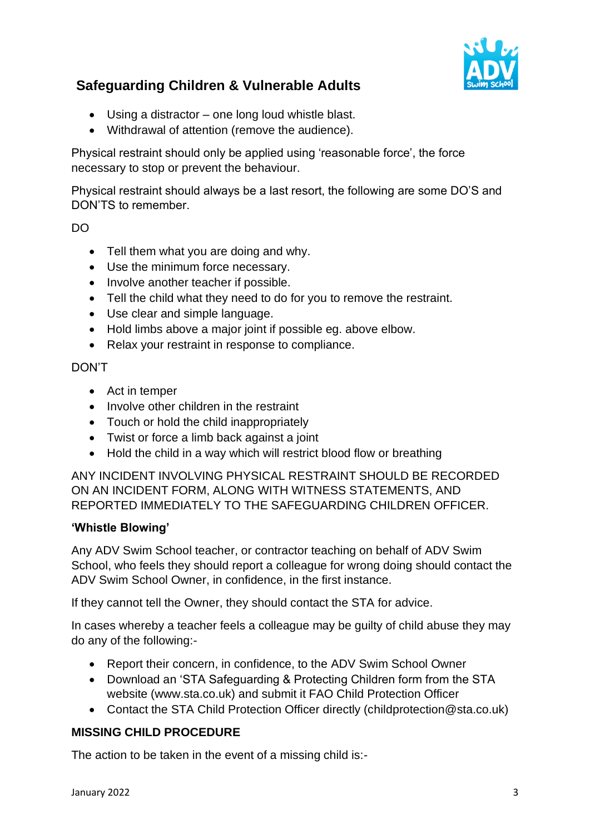

- Using a distractor one long loud whistle blast.
- Withdrawal of attention (remove the audience).

Physical restraint should only be applied using 'reasonable force', the force necessary to stop or prevent the behaviour.

Physical restraint should always be a last resort, the following are some DO'S and DON'TS to remember.

### DO

- Tell them what you are doing and why.
- Use the minimum force necessary.
- Involve another teacher if possible.
- Tell the child what they need to do for you to remove the restraint.
- Use clear and simple language.
- Hold limbs above a major joint if possible eg. above elbow.
- Relax your restraint in response to compliance.

#### DON'T

- Act in temper
- Involve other children in the restraint
- Touch or hold the child inappropriately
- Twist or force a limb back against a joint
- Hold the child in a way which will restrict blood flow or breathing

ANY INCIDENT INVOLVING PHYSICAL RESTRAINT SHOULD BE RECORDED ON AN INCIDENT FORM, ALONG WITH WITNESS STATEMENTS, AND REPORTED IMMEDIATELY TO THE SAFEGUARDING CHILDREN OFFICER.

#### **'Whistle Blowing'**

Any ADV Swim School teacher, or contractor teaching on behalf of ADV Swim School, who feels they should report a colleague for wrong doing should contact the ADV Swim School Owner, in confidence, in the first instance.

If they cannot tell the Owner, they should contact the STA for advice.

In cases whereby a teacher feels a colleague may be guilty of child abuse they may do any of the following:-

- Report their concern, in confidence, to the ADV Swim School Owner
- Download an 'STA Safeguarding & Protecting Children form from the STA website (www.sta.co.uk) and submit it FAO Child Protection Officer
- Contact the STA Child Protection Officer directly (childprotection@sta.co.uk)

### **MISSING CHILD PROCEDURE**

The action to be taken in the event of a missing child is:-